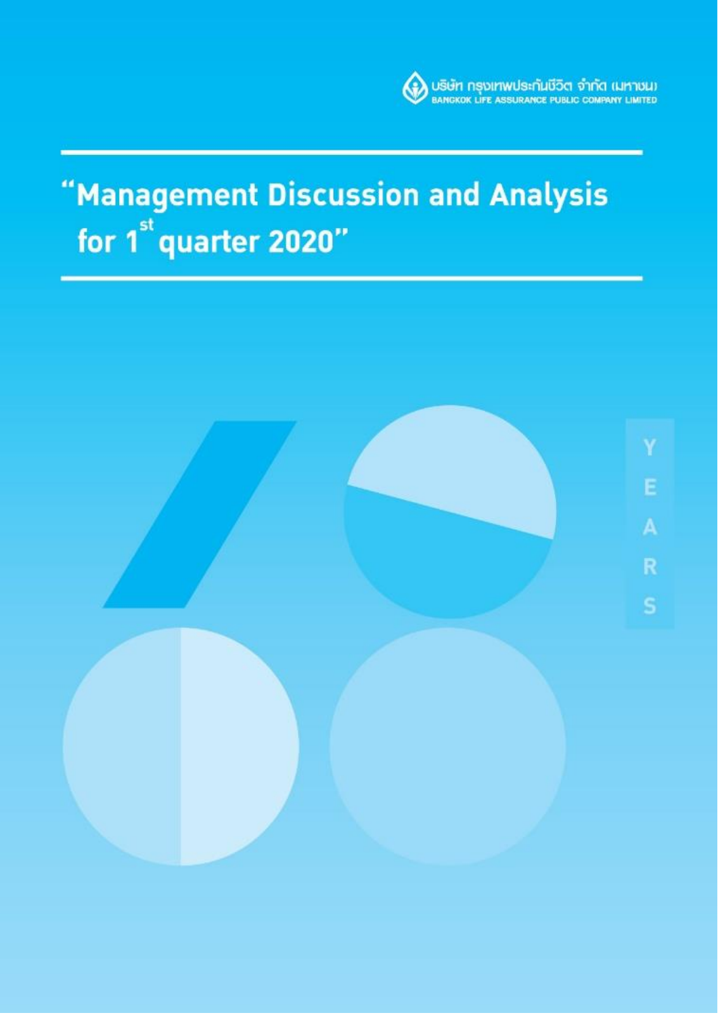

# "Management Discussion and Analysis for 1<sup>st</sup> quarter 2020"

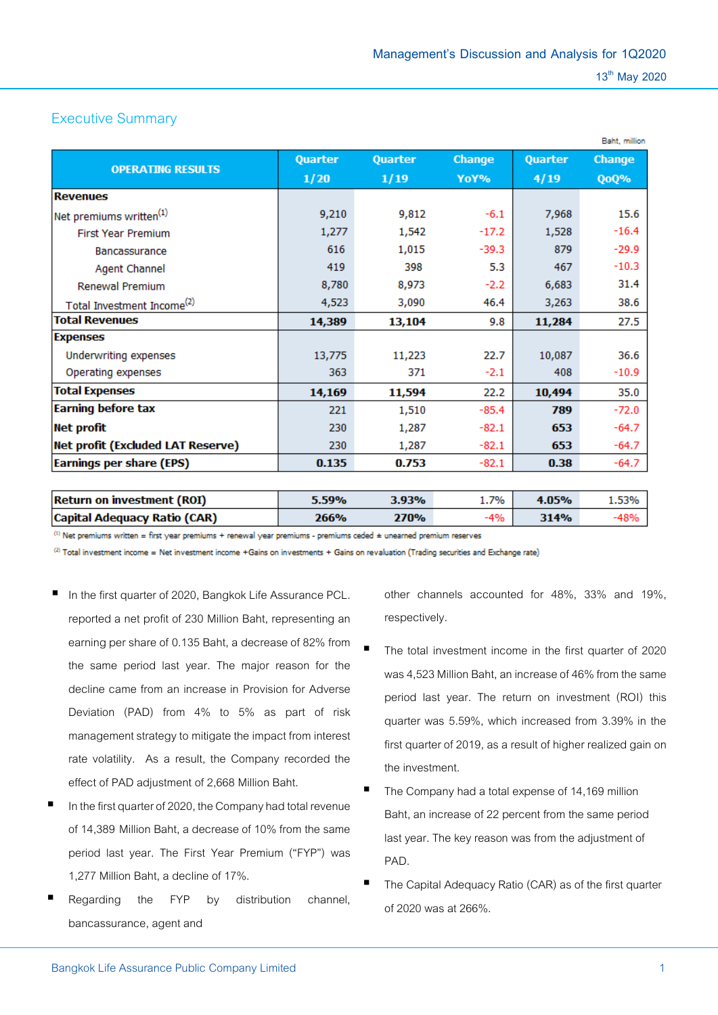# Executive Summary

|                                          | <b>Quarter</b> | Quarter | <b>Change</b> | Quarter | Change  |
|------------------------------------------|----------------|---------|---------------|---------|---------|
| <b>OPERATING RESULTS</b>                 |                |         |               |         |         |
|                                          | 1/20           | 1/19    | YoY%          | 4/19    | QoQ%    |
| <b>Revenues</b>                          |                |         |               |         |         |
| Net premiums written <sup>(1)</sup>      | 9,210          | 9,812   | $-6.1$        | 7,968   | 15.6    |
| <b>First Year Premium</b>                | 1,277          | 1,542   | $-17.2$       | 1,528   | $-16.4$ |
| <b>Bancassurance</b>                     | 616            | 1,015   | $-39.3$       | 879     | $-29.9$ |
| <b>Agent Channel</b>                     | 419            | 398     | 5.3           | 467     | $-10.3$ |
| <b>Renewal Premium</b>                   | 8,780          | 8,973   | $-2.2$        | 6,683   | 31.4    |
| Total Investment Income <sup>(2)</sup>   | 4,523          | 3,090   | 46.4          | 3,263   | 38.6    |
| <b>Total Revenues</b>                    | 14,389         | 13,104  | 9.8           | 11,284  | 27.5    |
| <b>Expenses</b>                          |                |         |               |         |         |
| Underwriting expenses                    | 13,775         | 11,223  | 22.7          | 10,087  | 36.6    |
| Operating expenses                       | 363            | 371     | $-2.1$        | 408     | $-10.9$ |
| <b>Total Expenses</b>                    | 14,169         | 11,594  | 22.2          | 10,494  | 35.0    |
| <b>Earning before tax</b>                | 221            | 1,510   | $-85.4$       | 789     | $-72.0$ |
| <b>Net profit</b>                        | 230            | 1,287   | $-82.1$       | 653     | $-64.7$ |
| <b>Net profit (Excluded LAT Reserve)</b> | 230            | 1,287   | $-82.1$       | 653     | $-64.7$ |
| <b>Earnings per share (EPS)</b>          | 0.135          | 0.753   | $-82.1$       | 0.38    | $-64.7$ |

| <b>Return on investment (ROI)</b> | 5.59% | 3.93% | $1.7\%$ | 4.05% | 1.53% |
|-----------------------------------|-------|-------|---------|-------|-------|
| Capital Adequacy Ratio (CAR)      | 266%  | 270%  | -4% l   | 314%  | -48%  |

(1) Net premiums written = first year premiums + renewal year premiums - premiums ceded ± unearned premium reserves

(2) Total investment income = Net investment income +Gains on investments + Gains on revaluation (Trading securities and Exchange rate)

- In the first quarter of 2020, Bangkok Life Assurance PCL. reported a net profit of 230 Million Baht, representing an earning per share of 0.135 Baht, a decrease of 82% from the same period last year. The major reason for the decline came from an increase in Provision for Adverse Deviation (PAD) from 4% to 5% as part of risk management strategy to mitigate the impact from interest rate volatility. As a result, the Company recorded the effect of PAD adjustment of 2,668 Million Baht.
- In the first quarter of 2020, the Company had total revenue of 14,389 Million Baht, a decrease of 10% from the same period last year. The First Year Premium ("FYP") was 1,277 Million Baht, a decline of 17%.
- Regarding the FYP by distribution channel, bancassurance, agent and

other channels accounted for 48%, 33% and 19%, respectively.

- The total investment income in the first quarter of 2020 was 4,523 Million Baht, an increase of 46% from the same period last year. The return on investment (ROI) this quarter was 5.59%, which increased from 3.39% in the first quarter of 2019, as a result of higher realized gain on the investment.
- The Company had a total expense of 14,169 million Baht, an increase of 22 percent from the same period last year. The key reason was from the adjustment of PAD.
- The Capital Adequacy Ratio (CAR) as of the first quarter of 2020 was at 266%.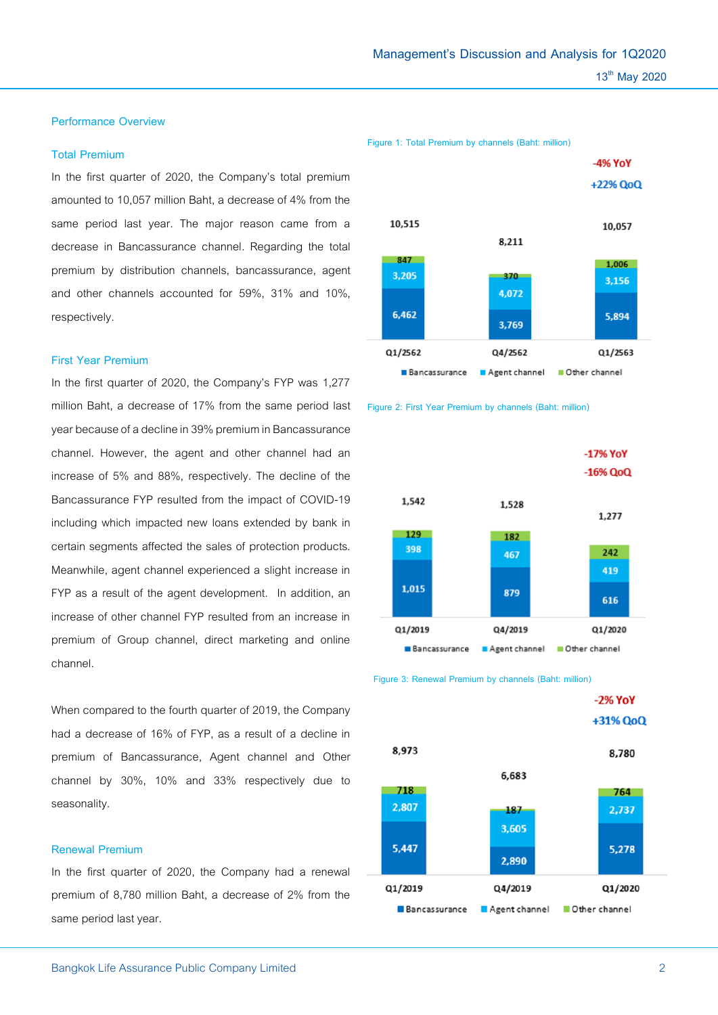**Management's Discussion and Analysis for 1Q2020**

#### **Performance Overview**

# **Total Premium**

In the first quarter of 2020, the Company's total premium amounted to 10,057 million Baht, a decrease of 4% from the same period last year. The major reason came from a decrease in Bancassurance channel. Regarding the total premium by distribution channels, bancassurance, agent and other channels accounted for 59%, 31% and 10%, respectively.

#### **First Year Premium**

In the first quarter of 2020, the Company's FYP was 1,277 million Baht, a decrease of 17% from the same period last year because of a decline in 39% premium in Bancassurance channel. However, the agent and other channel had an increase of 5% and 88%, respectively. The decline of the Bancassurance FYP resulted from the impact of COVID-19 including which impacted new loans extended by bank in certain segments affected the sales of protection products. Meanwhile, agent channel experienced a slight increase in FYP as a result of the agent development. In addition, an increase of other channel FYP resulted from an increase in premium of Group channel, direct marketing and online channel.

When compared to the fourth quarter of 2019, the Company had a decrease of 16% of FYP, as a result of a decline in premium of Bancassurance, Agent channel and Other channel by 30%, 10% and 33% respectively due to seasonality.

# **Renewal Premium**

In the first quarter of 2020, the Company had a renewal premium of 8,780 million Baht, a decrease of 2% from the same period last year.







 **Figure 3: Renewal Premium by channels (Baht: million)**

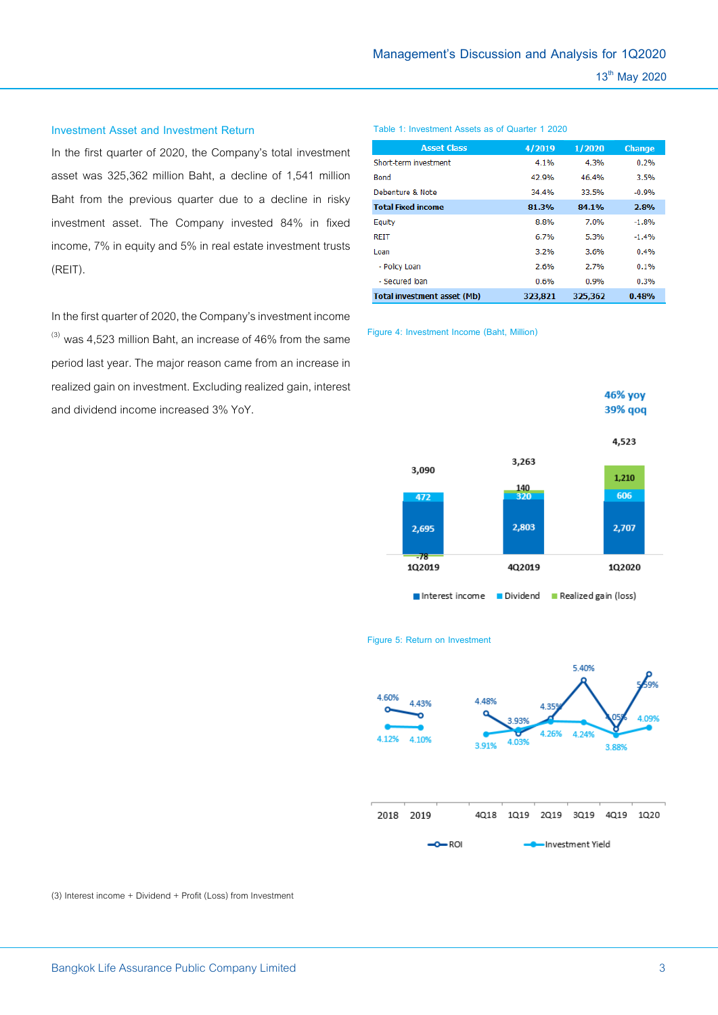#### **Investment Asset and Investment Return**

In the first quarter of 2020, the Company's total investment asset was 325,362 million Baht, a decline of 1,541 million Baht from the previous quarter due to a decline in risky investment asset. The Company invested 84% in fixed income, 7% in equity and 5% in real estate investment trusts (REIT).

In the first quarter of 2020, the Company's investment income  $^{(3)}$  was 4,523 million Baht, an increase of 46% from the same period last year. The major reason came from an increase in realized gain on investment. Excluding realized gain, interest and dividend income increased 3% YoY.

#### **Table 1: Investment Assets as of Quarter 1 2020**

| <b>Asset Class</b>          | 4/2019  | 1/2020  | <b>Change</b> |
|-----------------------------|---------|---------|---------------|
| Short-term investment       | 4.1%    | 4.3%    | 0.2%          |
| <b>Bond</b>                 | 42.9%   | 46.4%   | 3.5%          |
| Debenture & Note            | 34.4%   | 33.5%   | $-0.9%$       |
| <b>Total Fixed income</b>   | 81.3%   | 84.1%   | 2.8%          |
| Equity                      | 8.8%    | 7.0%    | $-1.8%$       |
| <b>REIT</b>                 | 6.7%    | 5.3%    | $-1.4%$       |
| Loan                        | 3.2%    | 3.6%    | 0.4%          |
| - Policy Loan               | 2.6%    | 2.7%    | 0.1%          |
| - Secured Joan              | 0.6%    | 0.9%    | 0.3%          |
| Total investment asset (Mb) | 323.821 | 325.362 | 0.48%         |

**Figure 4: Investment Income (Baht, Million)**



#### **Figure 5: Return on Investment**



(3) Interest income + Dividend + Profit (Loss) from Investment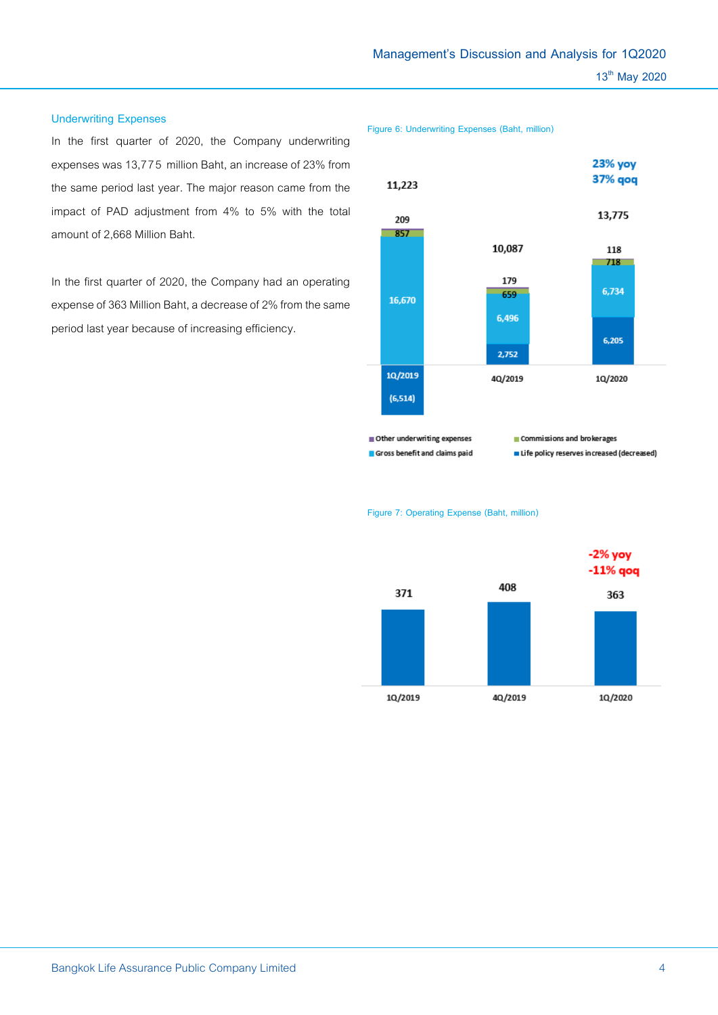#### **Underwriting Expenses**

In the first quarter of 2020, the Company underwriting expenses was 13,775 million Baht, an increase of 23% from the same period last year. The major reason came from the impact of PAD adjustment from 4% to 5% with the total amount of 2,668 Million Baht.

In the first quarter of 2020, the Company had an operating expense of 363 Million Baht, a decrease of 2% from the same period last year because of increasing efficiency.

**Figure 6: Underwriting Expenses (Baht, million)**



**Figure 7: Operating Expense (Baht, million)**

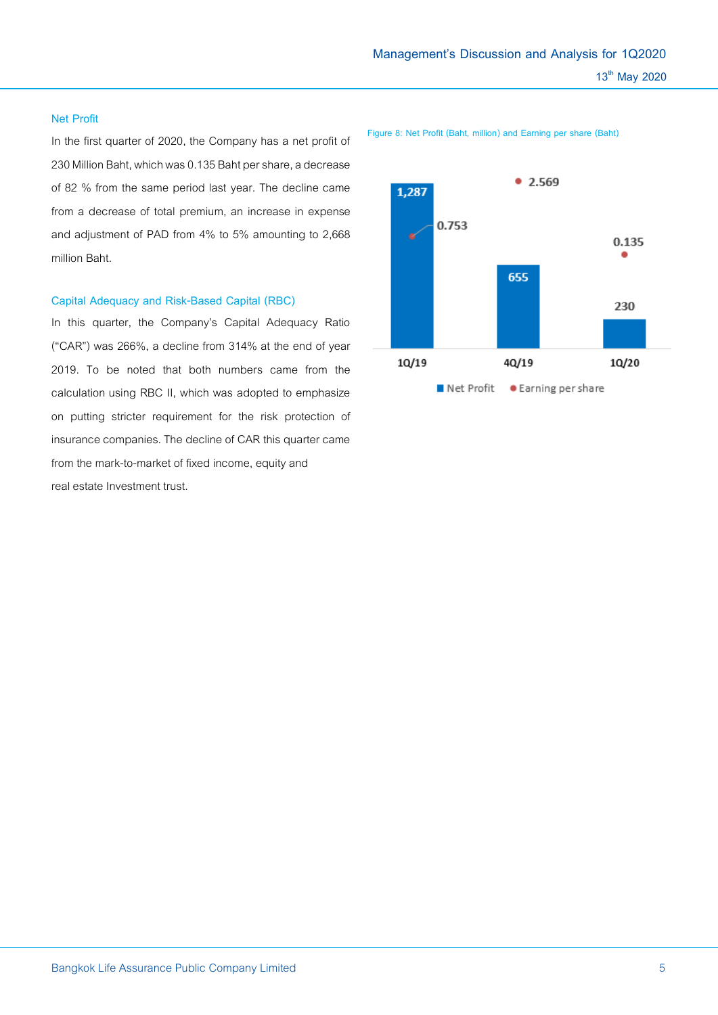# **Net Profit**

In the first quarter of 2020, the Company has a net profit of 230 Million Baht, which was 0.135 Baht per share, a decrease of 82 % from the same period last year. The decline came from a decrease of total premium, an increase in expense and adjustment of PAD from 4% to 5% amounting to 2,668 million Baht.

# **Capital Adequacy and Risk-Based Capital (RBC)**

In this quarter, the Company's Capital Adequacy Ratio ("CAR") was 266%, a decline from 314% at the end of year 2019. To be noted that both numbers came from the calculation using RBC II, which was adopted to emphasize on putting stricter requirement for the risk protection of insurance companies. The decline of CAR this quarter came from the mark-to-market of fixed income, equity and real estate Investment trust.



**Figure 8: Net Profit (Baht, million) and Earning per share (Baht)**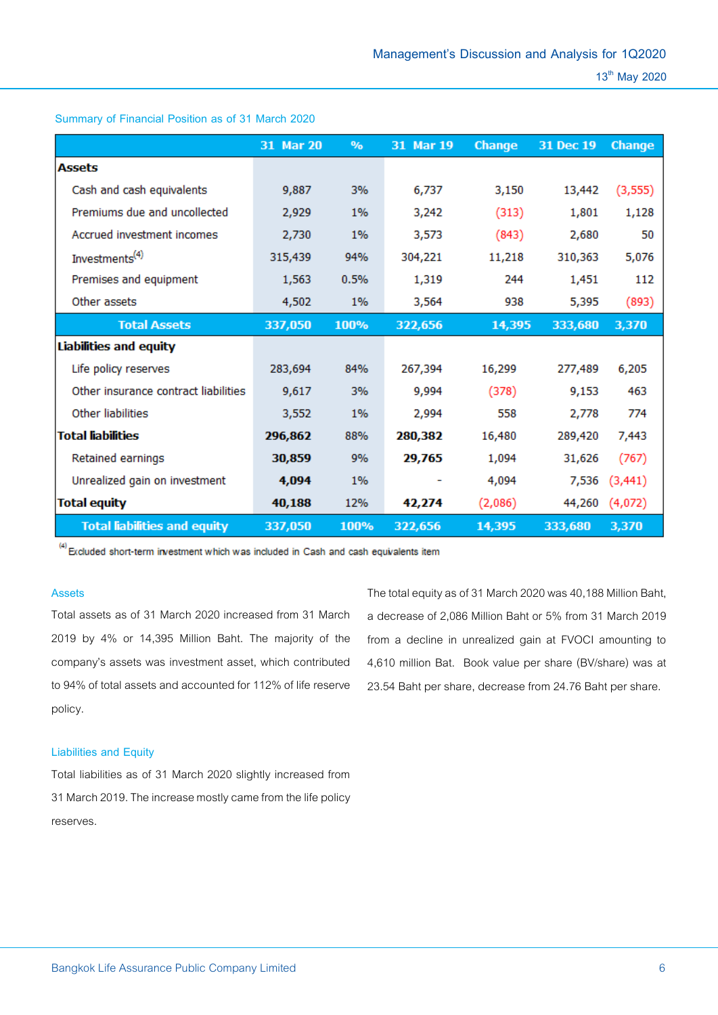|                                      | 31 Mar 20 | $\%$ | 31 Mar 19 | <b>Change</b> | 31 Dec 19 | Change   |
|--------------------------------------|-----------|------|-----------|---------------|-----------|----------|
| <b>Assets</b>                        |           |      |           |               |           |          |
| Cash and cash equivalents            | 9,887     | 3%   | 6,737     | 3,150         | 13,442    | (3, 555) |
| Premiums due and uncollected         | 2,929     | 1%   | 3,242     | (313)         | 1,801     | 1,128    |
| Accrued investment incomes           | 2,730     | 1%   | 3,573     | (843)         | 2,680     | 50       |
| Investments <sup>(4)</sup>           | 315,439   | 94%  | 304,221   | 11,218        | 310,363   | 5,076    |
| Premises and equipment               | 1,563     | 0.5% | 1,319     | 244           | 1,451     | 112      |
| Other assets                         | 4,502     | 1%   | 3,564     | 938           | 5,395     | (893)    |
| <b>Total Assets</b>                  | 337,050   | 100% | 322,656   | 14,395        | 333,680   | 3,370    |
| Liabilities and equity               |           |      |           |               |           |          |
| Life policy reserves                 | 283,694   | 84%  | 267,394   | 16,299        | 277,489   | 6,205    |
| Other insurance contract liabilities | 9,617     | 3%   | 9,994     | (378)         | 9,153     | 463      |
| Other liabilities                    | 3,552     | 1%   | 2,994     | 558           | 2,778     | 774      |
| <b>Total liabilities</b>             | 296,862   | 88%  | 280,382   | 16,480        | 289,420   | 7,443    |
| Retained earnings                    | 30,859    | 9%   | 29,765    | 1,094         | 31,626    | (767)    |
| Unrealized gain on investment        | 4,094     | 1%   |           | 4,094         | 7,536     | (3, 441) |
| <b>Total equity</b>                  | 40,188    | 12%  | 42,274    | (2,086)       | 44,260    | (4,072)  |
| <b>Total liabilities and equity</b>  | 337,050   | 100% | 322,656   | 14,395        | 333,680   | 3,370    |

**Summary of Financial Position as of 31 March 2020**

 $^{(4)}$  Excluded short-term investment which was included in Cash and cash equivalents item

#### **Assets**

Total assets as of 31 March 2020 increased from 31 March 2019 by 4% or 14,395 Million Baht. The majority of the company's assets was investment asset, which contributed to 94% of total assets and accounted for 112% of life reserve policy.

The total equity as of 31 March 2020 was 40,188 Million Baht, a decrease of 2,086 Million Baht or 5% from 31 March 2019 from a decline in unrealized gain at FVOCI amounting to 4,610 million Bat. Book value per share (BV/share) was at 23.54 Baht per share, decrease from 24.76 Baht per share.

## **Liabilities and Equity**

Total liabilities as of 31 March 2020 slightly increased from 31 March 2019. The increase mostly came from the life policy reserves.